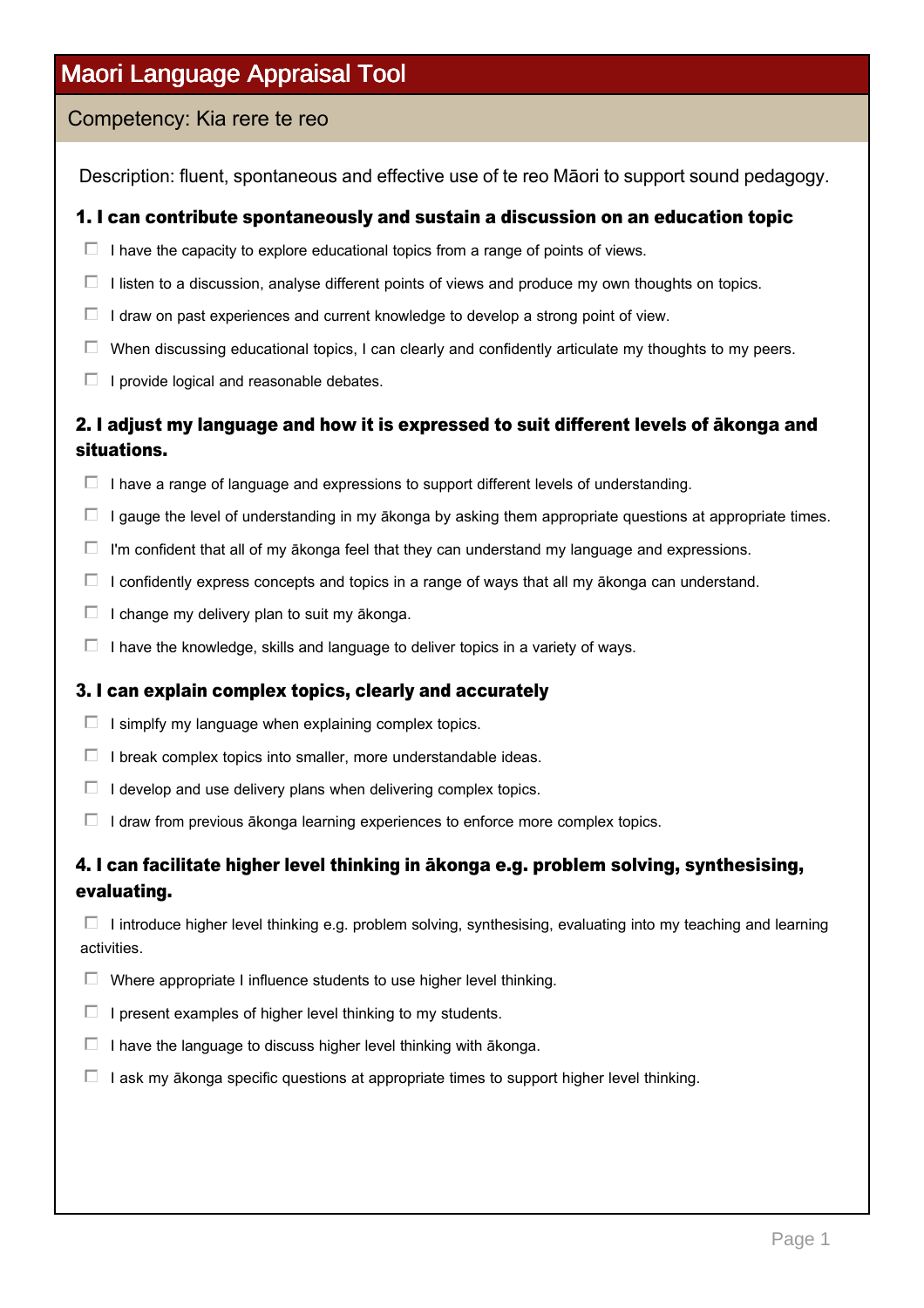### Competency: Kia rere te reo

Description: fluent, spontaneous and effective use of te reo Māori to support sound pedagogy.

### 1. I can contribute spontaneously and sustain a discussion on an education topic

- $\Box$  I have the capacity to explore educational topics from a range of points of views.
- $\Box$  I listen to a discussion, analyse different points of views and produce my own thoughts on topics.
- $\Box$  I draw on past experiences and current knowledge to develop a strong point of view.
- $\Box$  When discussing educational topics, I can clearly and confidently articulate my thoughts to my peers.
- $\Box$  I provide logical and reasonable debates.

### 2. I adjust my language and how it is expressed to suit different levels of ākonga and situations.

- $\Box$  I have a range of language and expressions to support different levels of understanding.
- $\Box$  I gauge the level of understanding in my ākonga by asking them appropriate questions at appropriate times.
- $\Box$  I'm confident that all of my ākonga feel that they can understand my language and expressions.
- $\Box$  I confidently express concepts and topics in a range of ways that all my ākonga can understand.
- $\Box$  I change my delivery plan to suit my ākonga.
- $\Box$  I have the knowledge, skills and language to deliver topics in a variety of ways.

### 3. I can explain complex topics, clearly and accurately

- $\Box$  I simplfy my language when explaining complex topics.
- $\Box$  I break complex topics into smaller, more understandable ideas.
- $\Box$  I develop and use delivery plans when delivering complex topics.
- $\Box$  I draw from previous ākonga learning experiences to enforce more complex topics.

### 4. I can facilitate higher level thinking in ākonga e.g. problem solving, synthesising, evaluating.

 $\Box$  I introduce higher level thinking e.g. problem solving, synthesising, evaluating into my teaching and learning activities.

- $\Box$  Where appropriate I influence students to use higher level thinking.
- $\Box$  I present examples of higher level thinking to my students.
- $\Box$  I have the language to discuss higher level thinking with  $\overline{a}$  konga.
- $\Box$  I ask my ākonga specific questions at appropriate times to support higher level thinking.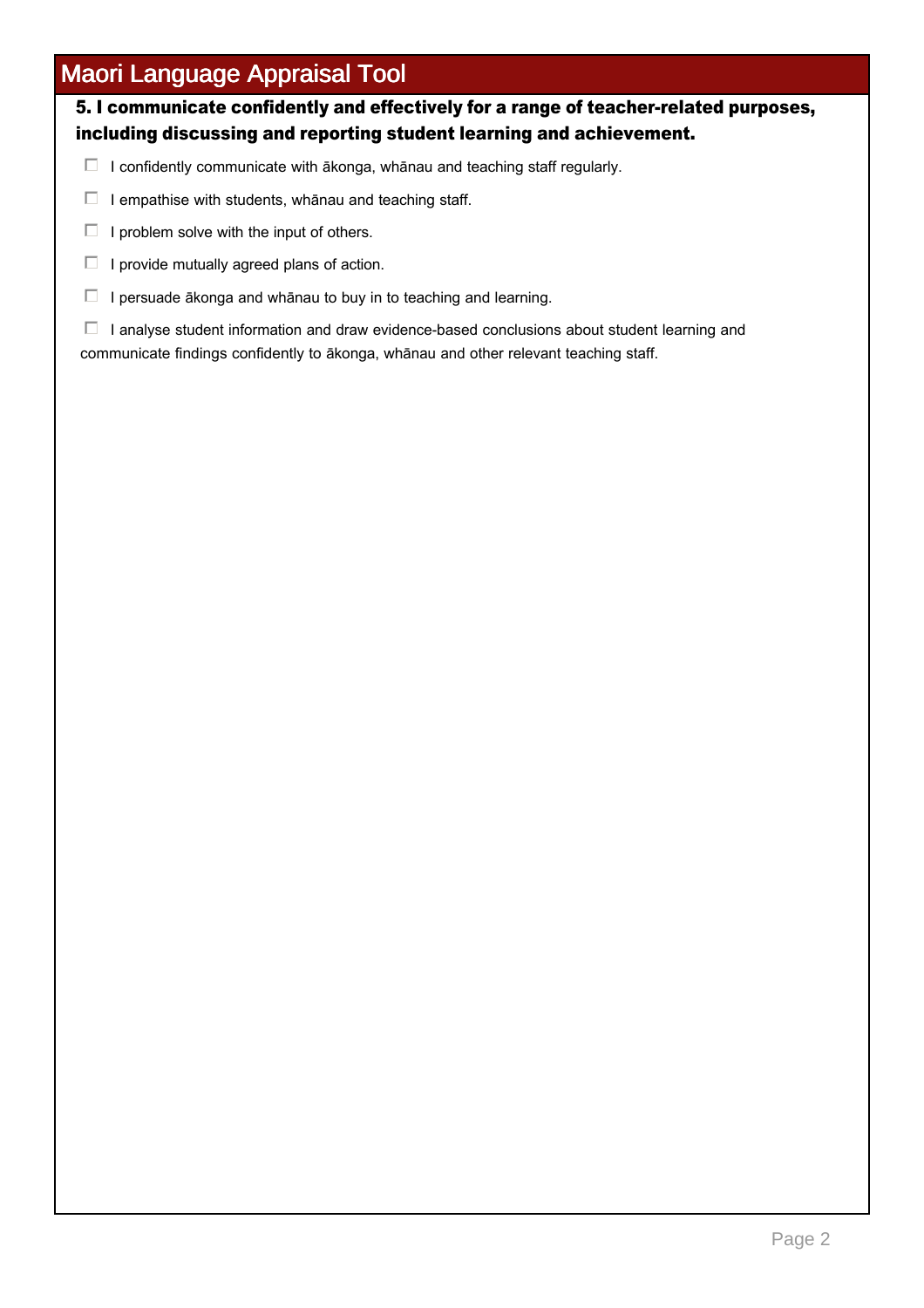## 5. I communicate confidently and effectively for a range of teacher-related purposes, including discussing and reporting student learning and achievement.

- $\Box$  I confidently communicate with ākonga, whānau and teaching staff regularly.
- $\Box$  I empathise with students, whānau and teaching staff.
- $\Box$  I problem solve with the input of others.
- $\Box$  I provide mutually agreed plans of action.
- $\Box$  I persuade ākonga and whānau to buy in to teaching and learning.

 $\Box$  I analyse student information and draw evidence-based conclusions about student learning and communicate findings confidently to ākonga, whānau and other relevant teaching staff.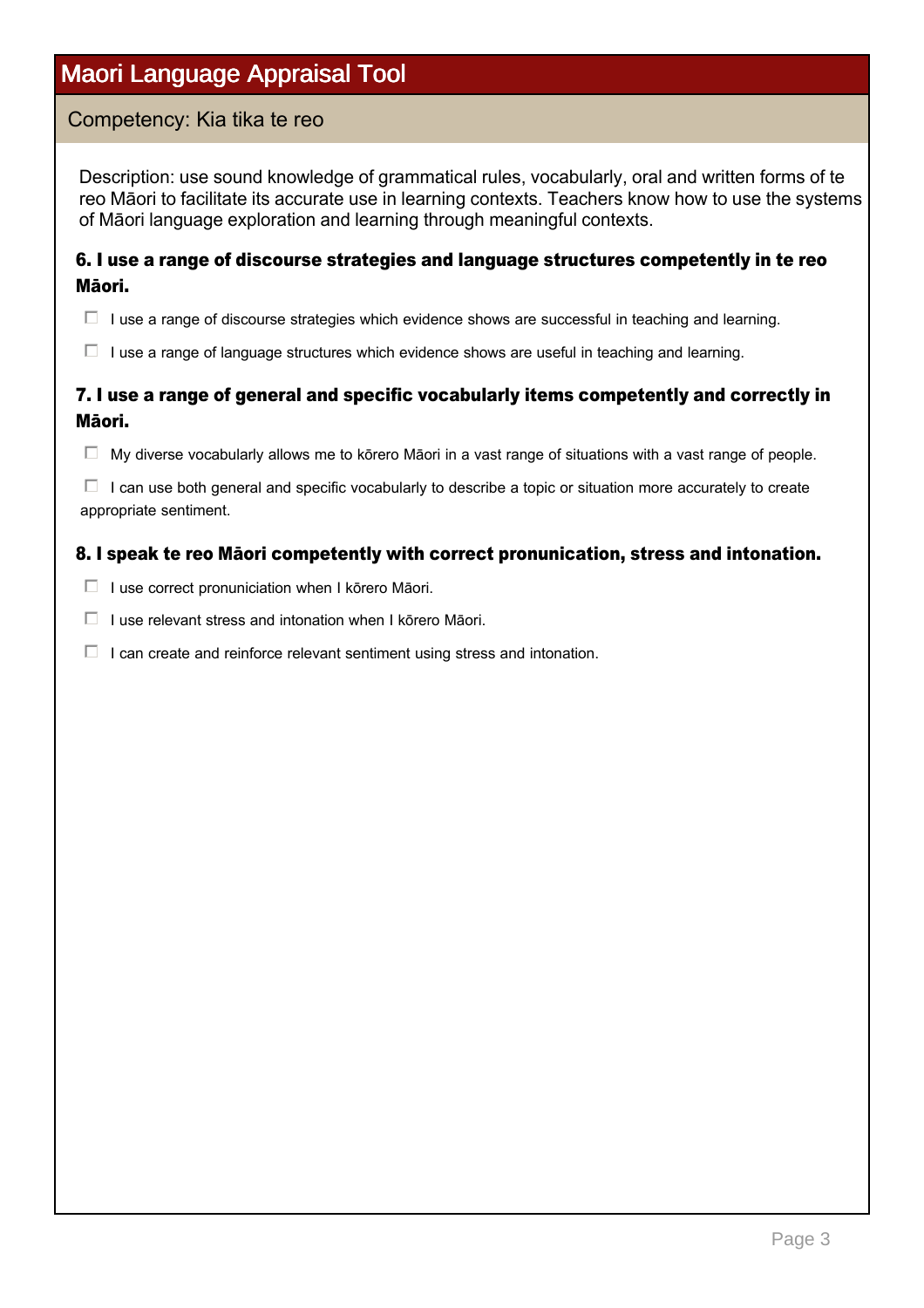## Competency: Kia tika te reo

Description: use sound knowledge of grammatical rules, vocabularly, oral and written forms of te reo Māori to facilitate its accurate use in learning contexts. Teachers know how to use the systems of Māori language exploration and learning through meaningful contexts.

### 6. I use a range of discourse strategies and language structures competently in te reo Māori.

 $\Box$  I use a range of discourse strategies which evidence shows are successful in teaching and learning.

 $\Box$  I use a range of language structures which evidence shows are useful in teaching and learning.

### 7. I use a range of general and specific vocabularly items competently and correctly in Māori.

 $\Box$  My diverse vocabularly allows me to kōrero Māori in a vast range of situations with a vast range of people.

 $\Box$  I can use both general and specific vocabularly to describe a topic or situation more accurately to create appropriate sentiment.

### 8. I speak te reo Māori competently with correct pronunication, stress and intonation.

- $\Box$  I use correct pronuniciation when I kōrero Māori.
- $\Box$  I use relevant stress and intonation when I kōrero Māori.
- $\Box$  I can create and reinforce relevant sentiment using stress and intonation.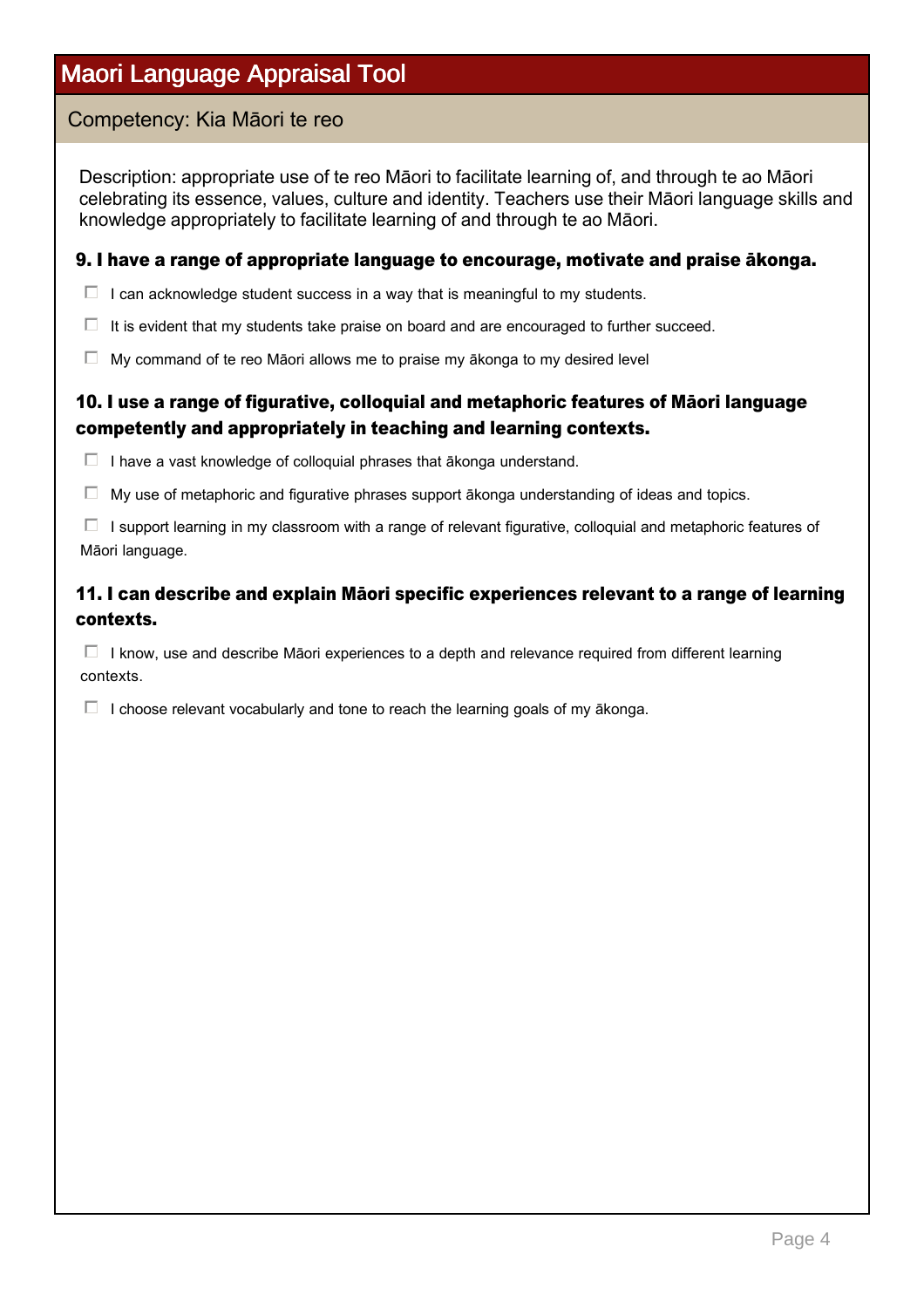## Competency: Kia Māori te reo

Description: appropriate use of te reo Māori to facilitate learning of, and through te ao Māori celebrating its essence, values, culture and identity. Teachers use their Māori language skills and knowledge appropriately to facilitate learning of and through te ao Māori.

#### 9. I have a range of appropriate language to encourage, motivate and praise ākonga.

- $\Box$  I can acknowledge student success in a way that is meaningful to my students.
- $\Box$  It is evident that my students take praise on board and are encouraged to further succeed.
- $\Box$  My command of te reo Māori allows me to praise my ākonga to my desired level

### 10. I use a range of figurative, colloquial and metaphoric features of Māori language competently and appropriately in teaching and learning contexts.

- $\Box$  I have a vast knowledge of colloquial phrases that ākonga understand.
- $\Box$  My use of metaphoric and figurative phrases support ākonga understanding of ideas and topics.

 $\Box$  I support learning in my classroom with a range of relevant figurative, colloquial and metaphoric features of Māori language.

### 11. I can describe and explain Māori specific experiences relevant to a range of learning contexts.

 $\Box$  I know, use and describe Māori experiences to a depth and relevance required from different learning contexts.

 $\Box$  I choose relevant vocabularly and tone to reach the learning goals of my ākonga.